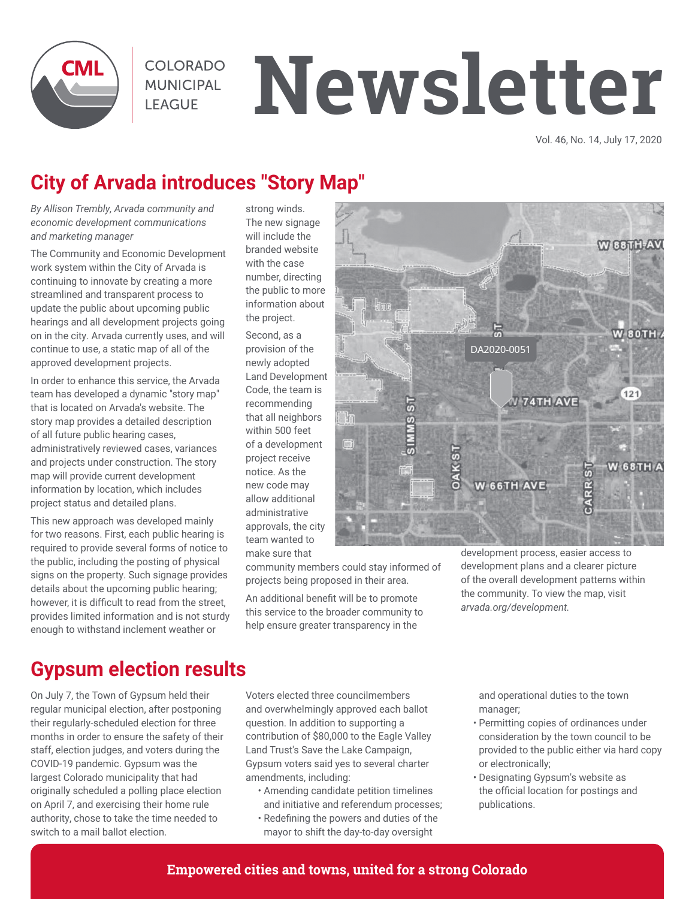

**COLORADO MUNICIPAL LEAGUE** 

# **Newsletter**

Vol. 46, No. 14, July 17, 2020

# **City of Arvada introduces "Story Map"**

*By Allison Trembly, Arvada community and economic development communications and marketing manager*

The Community and Economic Development work system within the City of Arvada is continuing to innovate by creating a more streamlined and transparent process to update the public about upcoming public hearings and all development projects going on in the city. Arvada currently uses, and will continue to use, a static map of all of the approved development projects.

In order to enhance this service, the Arvada team has developed a dynamic "story map" that is located on Arvada's website. The story map provides a detailed description of all future public hearing cases, administratively reviewed cases, variances and projects under construction. The story map will provide current development information by location, which includes project status and detailed plans.

This new approach was developed mainly for two reasons. First, each public hearing is required to provide several forms of notice to the public, including the posting of physical signs on the property. Such signage provides details about the upcoming public hearing; however, it is difficult to read from the street, provides limited information and is not sturdy enough to withstand inclement weather or

strong winds. The new signage will include the branded website with the case number, directing the public to more information about the project.

Second, as a provision of the newly adopted Land Development Code, the team is recommending that all neighbors within 500 feet of a development project receive notice. As the new code may allow additional administrative approvals, the city team wanted to make sure that



community members could stay informed of projects being proposed in their area.

An additional benefit will be to promote this service to the broader community to help ensure greater transparency in the

development process, easier access to development plans and a clearer picture of the overall development patterns within the community. To view the map, visit *arvada.org/development.*

# **Gypsum election results**

On July 7, the Town of Gypsum held their regular municipal election, after postponing their regularly-scheduled election for three months in order to ensure the safety of their staff, election judges, and voters during the COVID-19 pandemic. Gypsum was the largest Colorado municipality that had originally scheduled a polling place election on April 7, and exercising their home rule authority, chose to take the time needed to switch to a mail ballot election.

Voters elected three councilmembers and overwhelmingly approved each ballot question. In addition to supporting a contribution of \$80,000 to the Eagle Valley Land Trust's Save the Lake Campaign, Gypsum voters said yes to several charter amendments, including:

- Amending candidate petition timelines and initiative and referendum processes;
- Redefining the powers and duties of the mayor to shift the day-to-day oversight

and operational duties to the town manager;

- Permitting copies of ordinances under consideration by the town council to be provided to the public either via hard copy or electronically;
- Designating Gypsum's website as the official location for postings and publications.

#### **Empowered cities and towns, united for a strong Colorado**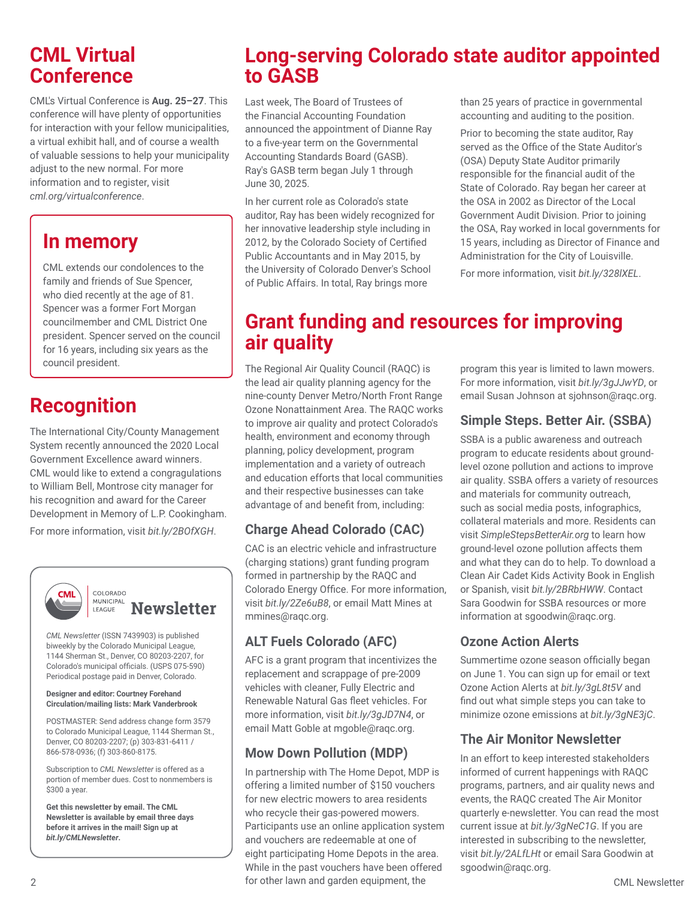## **CML Virtual Conference**

CML's Virtual Conference is **Aug. 25–27**. This conference will have plenty of opportunities for interaction with your fellow municipalities, a virtual exhibit hall, and of course a wealth of valuable sessions to help your municipality adjust to the new normal. For more information and to register, visit *cml.org/virtualconference*.

# **In memory**

CML extends our condolences to the family and friends of Sue Spencer, who died recently at the age of 81. Spencer was a former Fort Morgan councilmember and CML District One president. Spencer served on the council for 16 years, including six years as the council president.

# **Recognition**

The International City/County Management System recently announced the 2020 Local Government Excellence award winners. CML would like to extend a congragulations to William Bell, Montrose city manager for his recognition and award for the Career Development in Memory of L.P. Cookingham.

For more information, visit *bit.ly/2BOfXGH*.



#### COLORADO **MUNICIPAL Newsletter** LEAGUE

*CML Newsletter* (ISSN 7439903) is published biweekly by the Colorado Municipal League, 1144 Sherman St., Denver, CO 80203-2207, for Colorado's municipal officials. (USPS 075-590) Periodical postage paid in Denver, Colorado.

#### **Designer and editor: Courtney Forehand Circulation/mailing lists: Mark Vanderbrook**

POSTMASTER: Send address change form 3579 to Colorado Municipal League, 1144 Sherman St., Denver, CO 80203-2207; (p) 303-831-6411 / 866-578-0936; (f) 303-860-8175.

Subscription to *CML Newsletter* is offered as a portion of member dues. Cost to nonmembers is \$300 a year.

**Get this newsletter by email. The CML Newsletter is available by email three days before it arrives in the mail! Sign up at**  *bit.ly/CMLNewsletter***.**

# **Long-serving Colorado state auditor appointed to GASB**

Last week, The Board of Trustees of the Financial Accounting Foundation announced the appointment of Dianne Ray to a five-year term on the Governmental Accounting Standards Board (GASB). Ray's GASB term began July 1 through June 30, 2025.

In her current role as Colorado's state auditor, Ray has been widely recognized for her innovative leadership style including in 2012, by the Colorado Society of Certified Public Accountants and in May 2015, by the University of Colorado Denver's School of Public Affairs. In total, Ray brings more

than 25 years of practice in governmental accounting and auditing to the position.

Prior to becoming the state auditor, Ray served as the Office of the State Auditor's (OSA) Deputy State Auditor primarily responsible for the financial audit of the State of Colorado. Ray began her career at the OSA in 2002 as Director of the Local Government Audit Division. Prior to joining the OSA, Ray worked in local governments for 15 years, including as Director of Finance and Administration for the City of Louisville.

For more information, visit *bit.ly/328lXEL*.

# **Grant funding and resources for improving air quality**

The Regional Air Quality Council (RAQC) is the lead air quality planning agency for the nine-county Denver Metro/North Front Range Ozone Nonattainment Area. The RAQC works to improve air quality and protect Colorado's health, environment and economy through planning, policy development, program implementation and a variety of outreach and education efforts that local communities and their respective businesses can take advantage of and benefit from, including:

### **Charge Ahead Colorado (CAC)**

CAC is an electric vehicle and infrastructure (charging stations) grant funding program formed in partnership by the RAQC and Colorado Energy Office. For more information, visit *bit.ly/2Ze6uB8*, or email Matt Mines at mmines@raqc.org.

### **ALT Fuels Colorado (AFC)**

AFC is a grant program that incentivizes the replacement and scrappage of pre-2009 vehicles with cleaner, Fully Electric and Renewable Natural Gas fleet vehicles. For more information, visit *bit.ly/3gJD7N4*, or email Matt Goble at mgoble@raqc.org.

### **Mow Down Pollution (MDP)**

2 CML Newsletter for other lawn and garden equipment, the In partnership with The Home Depot, MDP is offering a limited number of \$150 vouchers for new electric mowers to area residents who recycle their gas-powered mowers. Participants use an online application system and vouchers are redeemable at one of eight participating Home Depots in the area. While in the past vouchers have been offered

program this year is limited to lawn mowers. For more information, visit *bit.ly/3gJJwYD*, or email Susan Johnson at sjohnson@raqc.org.

#### **Simple Steps. Better Air. (SSBA)**

SSBA is a public awareness and outreach program to educate residents about groundlevel ozone pollution and actions to improve air quality. SSBA offers a variety of resources and materials for community outreach, such as social media posts, infographics, collateral materials and more. Residents can visit *SimpleStepsBetterAir.org* to learn how ground-level ozone pollution affects them and what they can do to help. To download a Clean Air Cadet Kids Activity Book in English or Spanish, visit *bit.ly/2BRbHWW*. Contact Sara Goodwin for SSBA resources or more information at sgoodwin@raqc.org.

#### **Ozone Action Alerts**

Summertime ozone season officially began on June 1. You can sign up for email or text Ozone Action Alerts at *bit.ly/3gL8t5V* and find out what simple steps you can take to minimize ozone emissions at *bit.ly/3gNE3jC*.

#### **The Air Monitor Newsletter**

In an effort to keep interested stakeholders informed of current happenings with RAQC programs, partners, and air quality news and events, the RAQC created The Air Monitor quarterly e-newsletter. You can read the most current issue at *bit.ly/3gNeC1G*. If you are interested in subscribing to the newsletter, visit *bit.ly/2ALfLHt* or email Sara Goodwin at sgoodwin@raqc.org.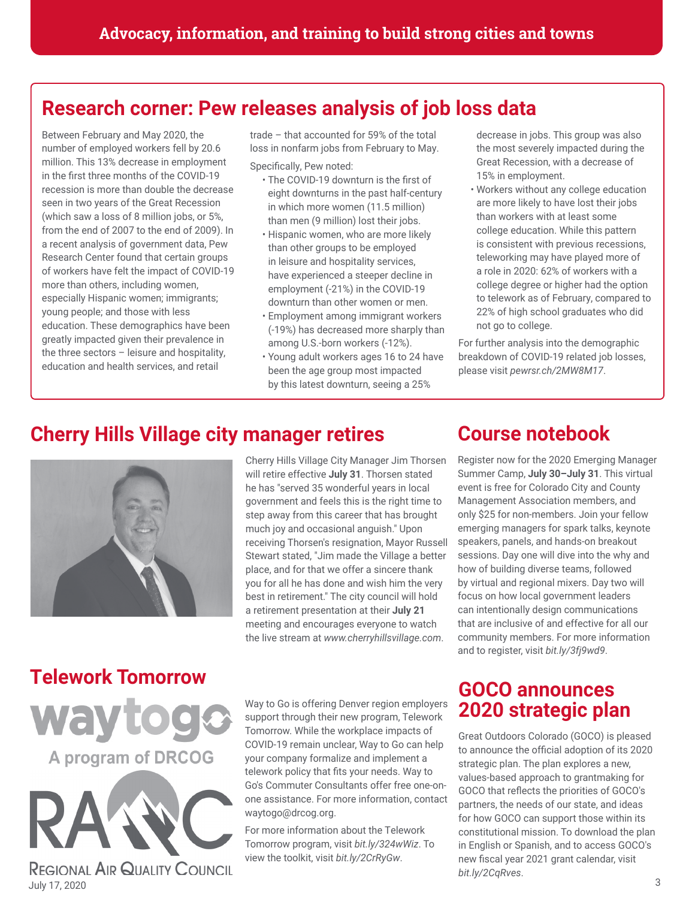# **Research corner: Pew releases analysis of job loss data**

Between February and May 2020, the number of employed workers fell by 20.6 million. This 13% decrease in employment in the first three months of the COVID-19 recession is more than double the decrease seen in two years of the Great Recession (which saw a loss of 8 million jobs, or 5%, from the end of 2007 to the end of 2009). In a recent analysis of government data, Pew Research Center found that certain groups of workers have felt the impact of COVID-19 more than others, including women, especially Hispanic women; immigrants; young people; and those with less education. These demographics have been greatly impacted given their prevalence in the three sectors – leisure and hospitality, education and health services, and retail

trade – that accounted for 59% of the total loss in nonfarm jobs from February to May. Specifically, Pew noted:

- The COVID-19 downturn is the first of eight downturns in the past half-century in which more women (11.5 million) than men (9 million) lost their jobs.
- Hispanic women, who are more likely than other groups to be employed in leisure and hospitality services, have experienced a steeper decline in employment (-21%) in the COVID-19 downturn than other women or men.
- Employment among immigrant workers (-19%) has decreased more sharply than among U.S.-born workers (-12%).
- Young adult workers ages 16 to 24 have been the age group most impacted by this latest downturn, seeing a 25%

decrease in jobs. This group was also the most severely impacted during the Great Recession, with a decrease of 15% in employment.

• Workers without any college education are more likely to have lost their jobs than workers with at least some college education. While this pattern is consistent with previous recessions, teleworking may have played more of a role in 2020: 62% of workers with a college degree or higher had the option to telework as of February, compared to 22% of high school graduates who did not go to college.

For further analysis into the demographic breakdown of COVID-19 related job losses, please visit *pewrsr.ch/2MW8M17*.

# **Cherry Hills Village city manager retires**



Cherry Hills Village City Manager Jim Thorsen will retire effective **July 31**. Thorsen stated he has "served 35 wonderful years in local government and feels this is the right time to step away from this career that has brought much joy and occasional anguish." Upon receiving Thorsen's resignation, Mayor Russell Stewart stated, "Jim made the Village a better place, and for that we offer a sincere thank you for all he has done and wish him the very best in retirement." The city council will hold a retirement presentation at their **July 21** meeting and encourages everyone to watch the live stream at *www.cherryhillsvillage.com*.

# **Telework Tomorrow**

A program of DRCOG

**REGIONAL AIR QUALITY COUNCIL** 

**wayto** 

Way to Go is offering Denver region employers support through their new program, Telework Tomorrow. While the workplace impacts of COVID-19 remain unclear, Way to Go can help your company formalize and implement a telework policy that fits your needs. Way to Go's Commuter Consultants offer free one-onone assistance. For more information, contact waytogo@drcog.org.

For more information about the Telework Tomorrow program, visit *bit.ly/324wWiz*. To view the toolkit, visit *bit.ly/2CrRyGw*.

# **Course notebook**

Register now for the 2020 Emerging Manager Summer Camp, **July 30–July 31**. This virtual event is free for Colorado City and County Management Association members, and only \$25 for non-members. Join your fellow emerging managers for spark talks, keynote speakers, panels, and hands-on breakout sessions. Day one will dive into the why and how of building diverse teams, followed by virtual and regional mixers. Day two will focus on how local government leaders can intentionally design communications that are inclusive of and effective for all our community members. For more information and to register, visit *bit.ly/3fj9wd9*.

## **GOCO announces 2020 strategic plan**

Great Outdoors Colorado (GOCO) is pleased to announce the official adoption of its 2020 strategic plan. The plan explores a new, values-based approach to grantmaking for GOCO that reflects the priorities of GOCO's partners, the needs of our state, and ideas for how GOCO can support those within its constitutional mission. To download the plan in English or Spanish, and to access GOCO's new fiscal year 2021 grant calendar, visit *bit.ly/2CqRves*.

3 July 17, 2020